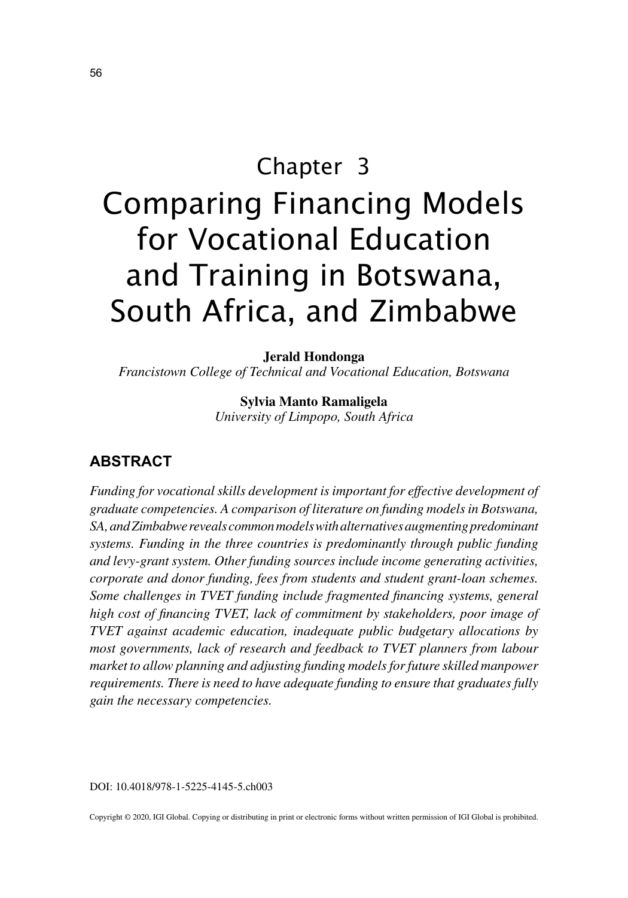# Chapter 3 Comparing Financing Models for Vocational Education and Training in Botswana, South Africa, and Zimbabwe

#### **Jerald Hondonga**

*Francistown College of Technical and Vocational Education, Botswana*

**Sylvia Manto Ramaligela** *University of Limpopo, South Africa*

# **ABSTRACT**

*Funding for vocational skills development is important for effective development of graduate competencies. A comparison of literature on funding models in Botswana, SA, and Zimbabwe reveals common models with alternatives augmenting predominant systems. Funding in the three countries is predominantly through public funding and levy-grant system. Other funding sources include income generating activities, corporate and donor funding, fees from students and student grant-loan schemes. Some challenges in TVET funding include fragmented financing systems, general high cost of financing TVET, lack of commitment by stakeholders, poor image of TVET against academic education, inadequate public budgetary allocations by most governments, lack of research and feedback to TVET planners from labour market to allow planning and adjusting funding models for future skilled manpower requirements. There is need to have adequate funding to ensure that graduates fully gain the necessary competencies.*

DOI: 10.4018/978-1-5225-4145-5.ch003

Copyright © 2020, IGI Global. Copying or distributing in print or electronic forms without written permission of IGI Global is prohibited.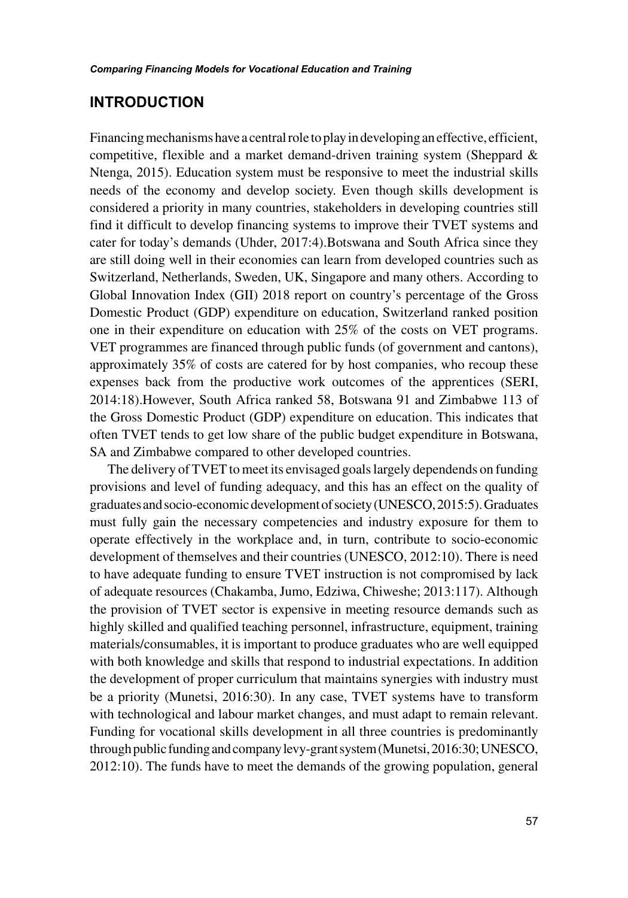#### **INTRODUCTION**

Financing mechanisms have a central role to play in developing an effective, efficient, competitive, flexible and a market demand-driven training system (Sheppard  $\&$ Ntenga, 2015). Education system must be responsive to meet the industrial skills needs of the economy and develop society. Even though skills development is considered a priority in many countries, stakeholders in developing countries still find it difficult to develop financing systems to improve their TVET systems and cater for today's demands (Uhder, 2017:4).Botswana and South Africa since they are still doing well in their economies can learn from developed countries such as Switzerland, Netherlands, Sweden, UK, Singapore and many others. According to Global Innovation Index (GII) 2018 report on country's percentage of the Gross Domestic Product (GDP) expenditure on education, Switzerland ranked position one in their expenditure on education with 25% of the costs on VET programs. VET programmes are financed through public funds (of government and cantons), approximately 35% of costs are catered for by host companies, who recoup these expenses back from the productive work outcomes of the apprentices (SERI, 2014:18).However, South Africa ranked 58, Botswana 91 and Zimbabwe 113 of the Gross Domestic Product (GDP) expenditure on education. This indicates that often TVET tends to get low share of the public budget expenditure in Botswana, SA and Zimbabwe compared to other developed countries.

The delivery of TVET to meet its envisaged goals largely dependends on funding provisions and level of funding adequacy, and this has an effect on the quality of graduates and socio-economic development of society (UNESCO, 2015:5). Graduates must fully gain the necessary competencies and industry exposure for them to operate effectively in the workplace and, in turn, contribute to socio-economic development of themselves and their countries (UNESCO, 2012:10). There is need to have adequate funding to ensure TVET instruction is not compromised by lack of adequate resources (Chakamba, Jumo, Edziwa, Chiweshe; 2013:117). Although the provision of TVET sector is expensive in meeting resource demands such as highly skilled and qualified teaching personnel, infrastructure, equipment, training materials/consumables, it is important to produce graduates who are well equipped with both knowledge and skills that respond to industrial expectations. In addition the development of proper curriculum that maintains synergies with industry must be a priority (Munetsi, 2016:30). In any case, TVET systems have to transform with technological and labour market changes, and must adapt to remain relevant. Funding for vocational skills development in all three countries is predominantly through public funding and company levy-grant system (Munetsi, 2016:30; UNESCO, 2012:10). The funds have to meet the demands of the growing population, general